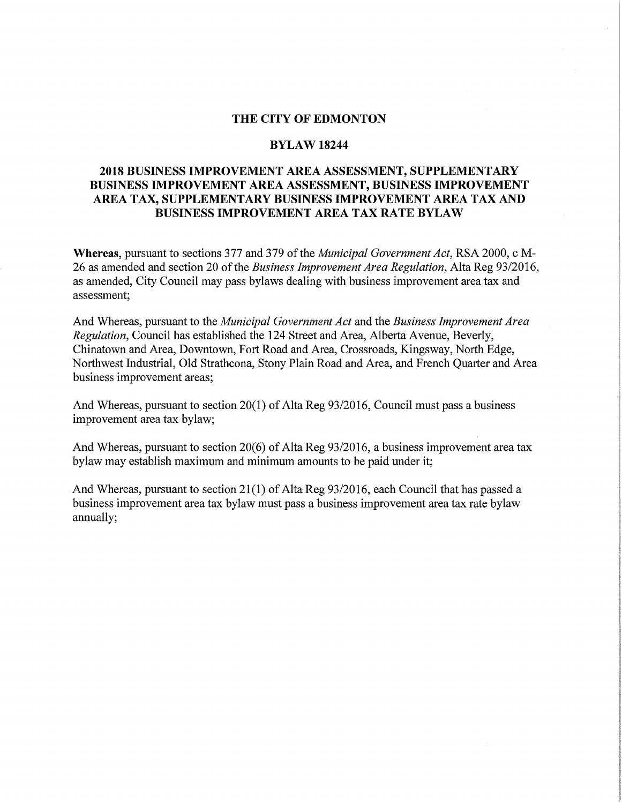#### **THE CITY OF EDMONTON**

#### **BYLAW18244**

## **2018 BUSINESS IMPROVEMENT AREA ASSESSMENT, SUPPLEMENTARY BUSINESS IMPROVEMENT AREA ASSESSMENT, BUSINESS IMPROVEMENT AREA TAX, SUPPLEMENTARY BUSINESS IMPROVEMENT AREA TAX AND BUSINESS IMPROVEMENT AREA TAX RATE BYLAW**

**Whereas,** pursuant to sections 377 and 379 of the *Municipal Government Act,* RSA 2000, c M-26 as amended and section 20 of the *Business Improvement Area Regulation,* Alta Reg 93/2016, as amended, City Council may pass bylaws dealing with business improvement area tax and assessment;

And Whereas, pursuant to the *Municipal Government Act* and the *Business Improvement Area Regulation,* Council has established the 124 Street and Area, Alberta Avenue, Beverly, Chinatown and Area, Downtown, Fort Road and Area, Crossroads, Kingsway, North Edge, Northwest Industrial, Old Strathcona, Stony Plain Road and Area, and French Quarter and Area business improvement areas;

And Whereas, pursuant to section 20(1) of Alta Reg 93/2016, Council must pass a business improvement area tax bylaw;

And Whereas, pursuant to section 20(6) of Alta Reg 93/2016, a business improvement area tax bylaw may establish maximum and minimum amounts to be paid under it;

And Whereas, pursuant to section 21(1) of Alta Reg 93/2016, each Council that has passed a business improvement area tax bylaw must pass a business improvement area tax rate bylaw annually;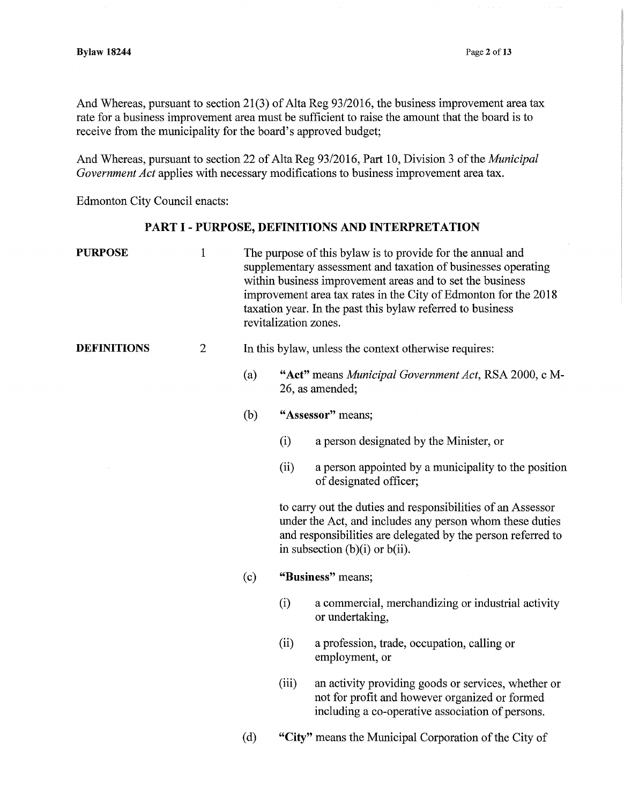And Whereas, pursuant to section 21(3) of Alta Reg 93/2016, the business improvement area tax rate for a business improvement area must be sufficient to raise the amount that the board is to receive from the municipality for the board's approved budget;

And Whereas, pursuant to section 22 of Alta Reg 93/2016, Part 10, Division 3 of the *Municipal Government Act* applies with necessary modifications to business improvement area tax.

Edmonton City Council enacts:

# **PART** I - **PURPOSE, DEFINITIONS AND INTERPRETATION**

| <b>PURPOSE</b>     | $\mathbf{1}$ | The purpose of this bylaw is to provide for the annual and<br>supplementary assessment and taxation of businesses operating<br>within business improvement areas and to set the business<br>improvement area tax rates in the City of Edmonton for the 2018<br>taxation year. In the past this bylaw referred to business<br>revitalization zones. |                   |                                                                                                                                                           |
|--------------------|--------------|----------------------------------------------------------------------------------------------------------------------------------------------------------------------------------------------------------------------------------------------------------------------------------------------------------------------------------------------------|-------------------|-----------------------------------------------------------------------------------------------------------------------------------------------------------|
| <b>DEFINITIONS</b> | $\mathbf{2}$ | In this bylaw, unless the context otherwise requires:                                                                                                                                                                                                                                                                                              |                   |                                                                                                                                                           |
|                    |              | (a)                                                                                                                                                                                                                                                                                                                                                |                   | "Act" means Municipal Government Act, RSA 2000, c M-<br>26, as amended;                                                                                   |
|                    |              | "Assessor" means;<br>(b)                                                                                                                                                                                                                                                                                                                           |                   |                                                                                                                                                           |
|                    |              |                                                                                                                                                                                                                                                                                                                                                    | (i)               | a person designated by the Minister, or                                                                                                                   |
|                    |              |                                                                                                                                                                                                                                                                                                                                                    | (ii)              | a person appointed by a municipality to the position<br>of designated officer;                                                                            |
|                    |              | to carry out the duties and responsibilities of an Assessor<br>under the Act, and includes any person whom these duties<br>and responsibilities are delegated by the person referred to<br>in subsection $(b)(i)$ or $b(ii)$ .                                                                                                                     |                   |                                                                                                                                                           |
|                    |              | (c)                                                                                                                                                                                                                                                                                                                                                | "Business" means; |                                                                                                                                                           |
|                    |              |                                                                                                                                                                                                                                                                                                                                                    | (i)               | a commercial, merchandizing or industrial activity<br>or undertaking,                                                                                     |
|                    |              |                                                                                                                                                                                                                                                                                                                                                    | (ii)              | a profession, trade, occupation, calling or<br>employment, or                                                                                             |
|                    |              |                                                                                                                                                                                                                                                                                                                                                    | (iii)             | an activity providing goods or services, whether or<br>not for profit and however organized or formed<br>including a co-operative association of persons. |
|                    |              | "City" means the Municipal Corporation of the City of<br>(d)                                                                                                                                                                                                                                                                                       |                   |                                                                                                                                                           |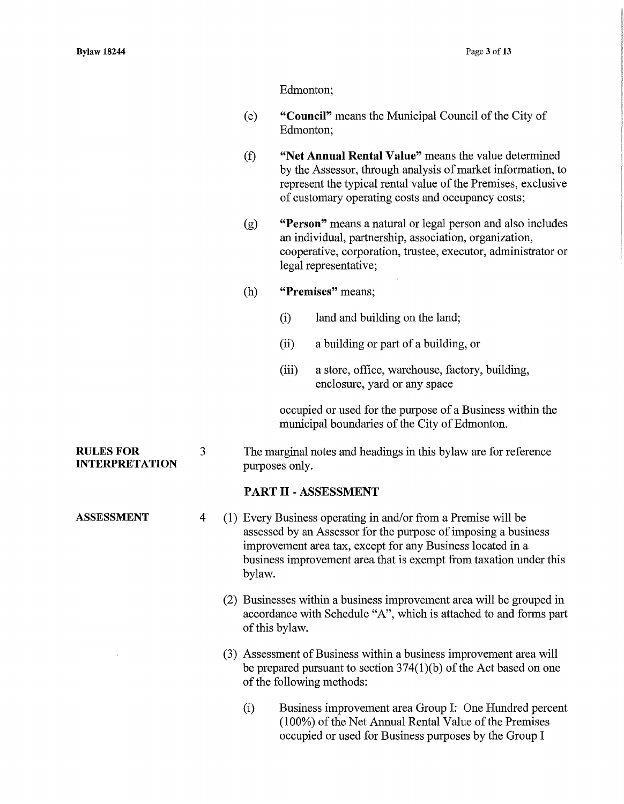Edmonton;

- (e) **"Council"** means the Municipal Council of the City of Edmonton;
- (f) **"Net Annual Rental Value"** means the value determined by the Assessor, through analysis of market information, to represent the typical rental value of the Premises, exclusive of customary operating costs and occupancy costs;
- (g) **"Person"** means a natural or legal person and also includes an individual, partnership, association, organization, cooperative, corporation, trustee, executor, administrator or legal representative;
- (h) **"Premises"** means;
	- (i) land and building on the land;
	- (ii) a building or part of a building, or
	- (iii) a store, office, warehouse, factory, building, enclosure, yard or any space

occupied or used for the purpose of a Business within the municipal boundaries of the City of Edmonton.

3 The marginal notes and headings in this bylaw are for reference purposes only.

#### **PART** II - **ASSESSMENT**

- 4 (1) Every Business operating in and/or from a Premise will be assessed by an Assessor for the purpose of imposing a business improvement area tax, except for any Business located in a business improvement area that is exempt from taxation under this bylaw.
	- (2) Businesses within a business improvement area will be grouped in accordance with Schedule "A", which is attached to and forms part of this bylaw.
	- (3) Assessment of Business within a business improvement area will be prepared pursuant to section 374(1)(b) of the Act based on one of the following methods:
		- (i) Business improvement area Group I: One Hundred percent (100%) of the Net Annual Rental Value of the Premises occupied or used for Business purposes by the Group I

#### **RULES FOR INTERPRETATION**

**ASSESSMENT**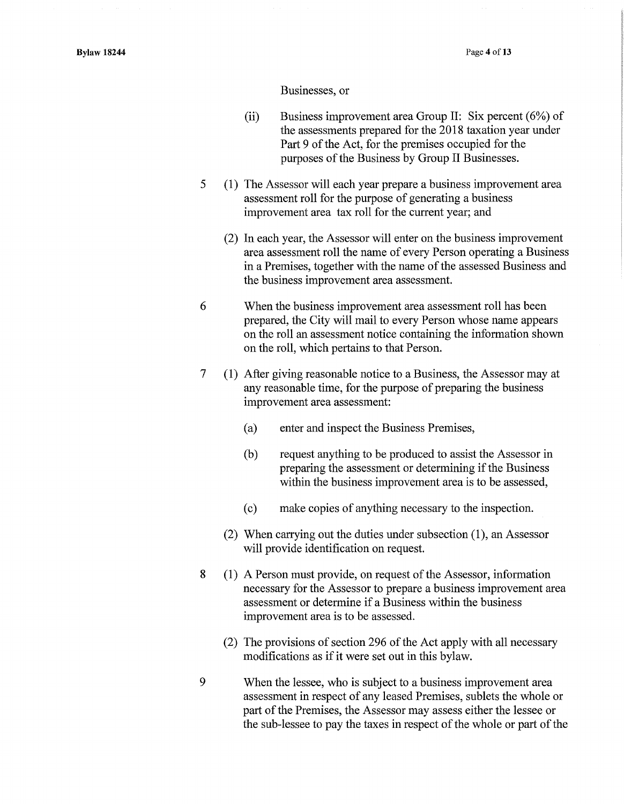#### Businesses, or

- (ii) Business improvement area Group II: Six percent (6%) of the assessments prepared for the 2018 taxation year under Part 9 of the Act, for the premises occupied for the purposes of the Business by Group II Businesses.
- 5 (1) The Assessor will each year prepare a business improvement area assessment roll for the purpose of generating a business improvement area tax roll for the current year; and
	- (2) In each year, the Assessor will enter on the business improvement area assessment roll the name of every Person operating a Business in a Premises, together with the name of the assessed Business and the business improvement area assessment.
- 6 When the business improvement area assessment roll has been prepared, the City will mail to every Person whose name appears on the roll an assessment notice containing the information shown on the roll, which pertains to that Person.
- 7 (1) After giving reasonable notice to a Business, the Assessor may at any reasonable time, for the purpose of preparing the business improvement area assessment:
	- (a) enter and inspect the Business Premises,
	- (b) request anything to be produced to assist the Assessor in preparing the assessment or determining if the Business within the business improvement area is to be assessed,
	- ( c) make copies of anything necessary to the inspection.
	- (2) When carrying out the duties under subsection (1), an Assessor will provide identification on request.
- 8 ( 1) A Person must provide, on request of the Assessor, information necessary for the Assessor to prepare a business improvement area assessment or determine if a Business within the business improvement area is to be assessed.
	- (2) The provisions of section 296 of the Act apply with all necessary modifications as if it were set out in this bylaw.
- 9 When the lessee, who is subject to a business improvement area assessment in respect of any leased Premises, sublets the whole or part of the Premises, the Assessor may assess either the lessee or the sub-lessee to pay the taxes in respect of the whole or part of the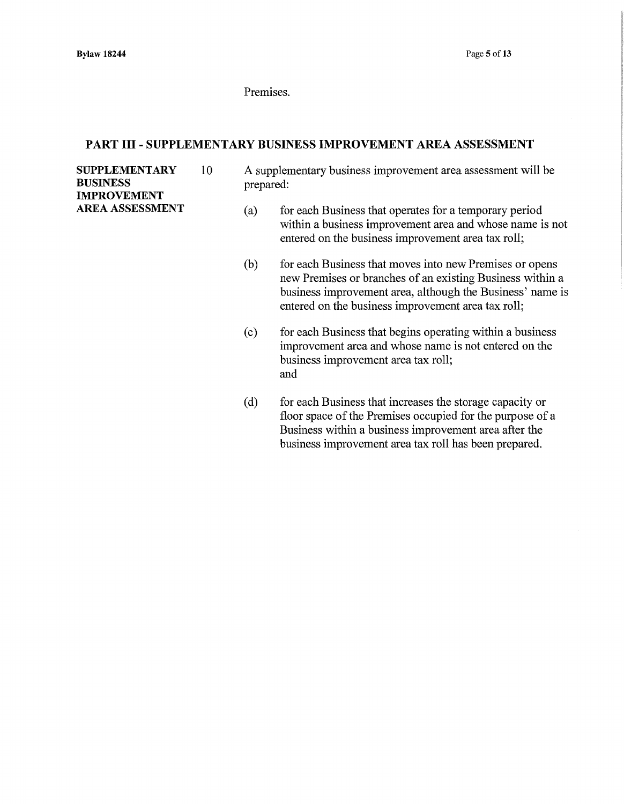Premises.

#### PART III - SUPPLEMENTARY BUSINESS IMPROVEMENT AREA ASSESSMENT

SUPPLEMENTARY 10 BUSINESS IMPROVEMENT AREA ASSESSMENT

- A supplementary business improvement area assessment will be prepared:
	- (a) for each Business that operates for a temporary period within a business improvement area and whose name is not entered on the business improvement area tax roll;
	- (b) for each Business that moves into new Premises or opens new Premises or branches of an existing Business within a business improvement area, although the Business' name is entered on the business improvement area tax roll;
	- (c) for each Business that begins operating within a business improvement area and whose name is not entered on the business improvement area tax roll; and
	- (d) for each Business that increases the storage capacity or floor space of the Premises occupied for the purpose of a Business within a business improvement area after the business improvement area tax roll has been prepared.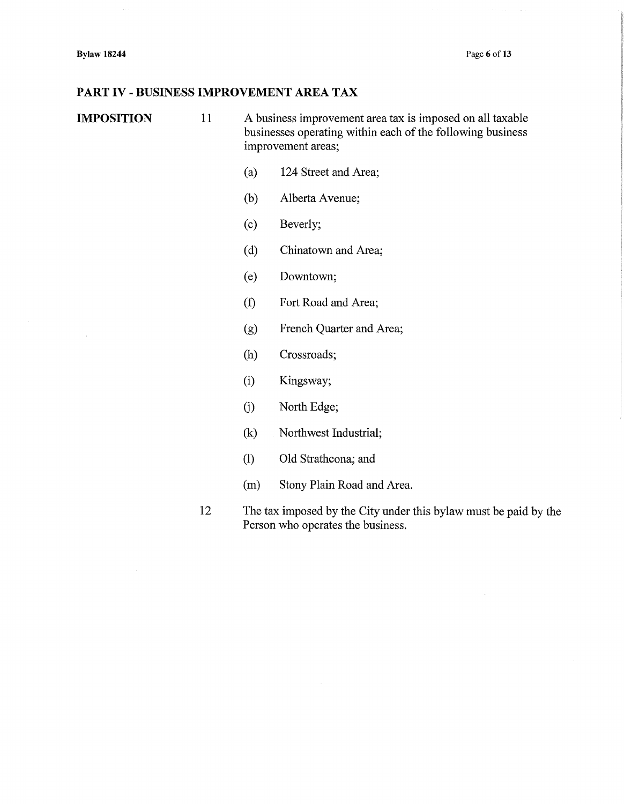### PART IV - BUSINESS IMPROVEMENT AREA TAX

IMPOSITION 11 A business improvement area tax is imposed on all taxable businesses operating within each of the following business improvement areas;

- (a) 124 Street and Area;
- (b) Alberta Avenue;
- (c) Beverly;
- (d) Chinatown and Area;
- (e) Downtown;
- (t) Fort Road and Area;
- (g) French Quarter and Area;
- (h) Crossroads;
- (i) Kingsway;
- (j) North Edge;
- (k) Northwest Industrial;
- (1) Old Strathcona; and
- (m) Stony Plain Road and Area.
- 12 The tax imposed by the City under this bylaw must be paid by the Person who operates the business.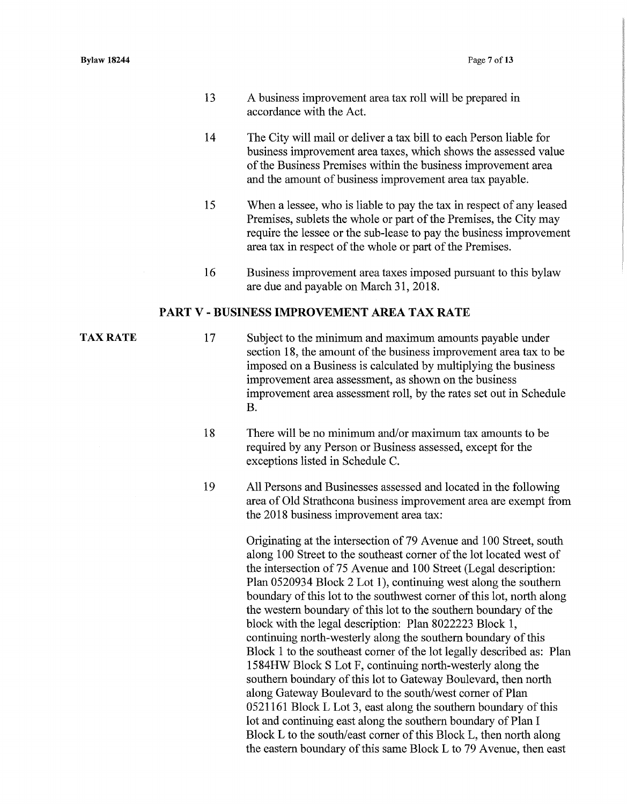- 13 A business improvement area tax roll will be prepared in accordance with the Act.
- 14 The City will mail or deliver a tax bill to each Person liable for business improvement area taxes, which shows the assessed value of the Business Premises within the business improvement area and the amount of business improvement area tax payable.
- 15 When a lessee, who is liable to pay the tax in respect of any leased Premises, sublets the whole or part of the Premises, the City may require the lessee or the sub-lease to pay the business improvement area tax in respect of the whole or part of the Premises.
- 16 Business improvement area taxes imposed pursuant to this bylaw are due and payable on March 31, 2018.

#### PART V - BUSINESS IMPROVEMENT AREA TAX RATE

TAX RATE

- 17 Subject to the minimum and maximum amounts payable under section 18, the amount of the business improvement area tax to be imposed on a Business is calculated by multiplying the business improvement area assessment, as shown on the business improvement area assessment roll, by the rates set out in Schedule B.
- 18 There will be no minimum and/or maximum tax amounts to be required by any Person or Business assessed, except for the exceptions listed in Schedule C.
- 19 All Persons and Businesses assessed and located in the following area of Old Strathcona business improvement area are exempt from the 2018 business improvement area tax:

Originating at the intersection of 79 A venue and 100 Street, south along 100 Street to the southeast comer of the lot located west of the intersection of 75 Avenue and 100 Street (Legal description: Plan 0520934 Block 2 Lot 1), continuing west along the southern boundary of this lot to the southwest comer of this lot, north along the western boundary of this lot to the southern boundary of the block with the legal description: Plan 8022223 Block 1, continuing north-westerly along the southern boundary of this Block 1 to the southeast comer of the lot legally described as: Plan 1584HW Block S Lot F, continuing north-westerly along the southern boundary of this lot to Gateway Boulevard, then north along Gateway Boulevard to the south/west comer of Plan 0521161 Block L Lot 3, east along the southern boundary of this lot and continuing east along the southern boundary of Plan I Block L to the south/east comer of this Block L, then north along the eastern boundary of this same Block L to 79 Avenue, then east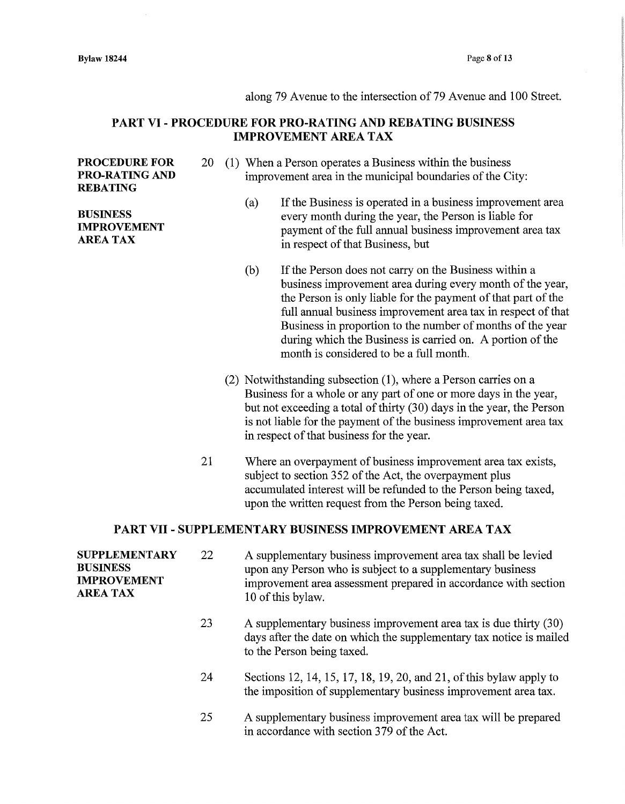#### along 79 Avenue to the intersection of 79 Avenue and 100 Street.

## PART VI - PROCEDURE FOR PRO-RATING AND REBATING BUSINESS IMPROVEMENT AREA TAX

#### PROCEDURE FOR PRO-RATING AND REBATING

#### **BUSINESS** IMPROVEMENT AREA TAX

- 20 (1) When a Person operates a Business within the business improvement area in the municipal boundaries of the City:
	- (a) If the Business is operated in a business improvement area every month during the year, the Person is liable for payment of the full annual business improvement area tax in respect of that Business, but
	- (b) If the Person does not carry on the Business within a business improvement area during every month of the year, the Person is only liable for the payment of that part of the full annual business improvement area tax in respect of that Business in proportion to the number of months of the year during which the Business is carried on. A portion of the month is considered to be a full month.
	- (2) Notwithstanding subsection (1 ), where a Person carries on a Business for a whole or any part of one or more days in the year, but not exceeding a total of thirty (30) days in the year, the Person is not liable for the payment of the business improvement area tax in respect of that business for the year.
- 21 Where an overpayment of business improvement area tax exists, subject to section 352 of the Act, the overpayment plus accumulated interest will be refunded to the Person being taxed, upon the written request from the Person being taxed.

#### PART VII - SUPPLEMENTARY BUSINESS IMPROVEMENT AREA TAX

| <b>SUPPLEMENTARY</b><br><b>BUSINESS</b><br><b>IMPROVEMENT</b><br><b>AREA TAX</b> | 22 | A supplementary business improvement area tax shall be levied<br>upon any Person who is subject to a supplementary business<br>improvement area assessment prepared in accordance with section<br>10 of this bylaw. |
|----------------------------------------------------------------------------------|----|---------------------------------------------------------------------------------------------------------------------------------------------------------------------------------------------------------------------|
|                                                                                  | 23 | A supplementary business improvement area tax is due thirty (30)<br>days after the date on which the supplementary tax notice is mailed<br>to the Person being taxed.                                               |
|                                                                                  | 24 | Sections 12, 14, 15, 17, 18, 19, 20, and 21, of this bylaw apply to<br>the imposition of supplementary business improvement area tax.                                                                               |
|                                                                                  | 25 | A supplementary business improvement area tax will be prepared<br>in accordance with section 379 of the Act.                                                                                                        |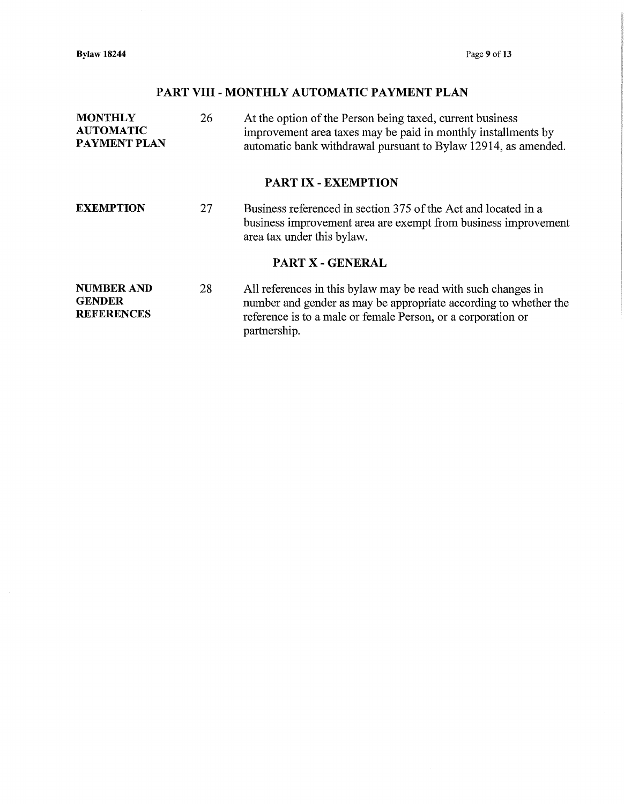**Bylaw 18244** Page 9 of 13

 $\bar{z}$ 

# **PART VIII- MONTHLY AUTOMATIC PAYMENT PLAN**

| <b>MONTHLY</b><br><b>AUTOMATIC</b><br><b>PAYMENT PLAN</b> | 26 | At the option of the Person being taxed, current business<br>improvement area taxes may be paid in monthly installments by<br>automatic bank withdrawal pursuant to Bylaw 12914, as amended.                      |
|-----------------------------------------------------------|----|-------------------------------------------------------------------------------------------------------------------------------------------------------------------------------------------------------------------|
|                                                           |    | <b>PART IX - EXEMPTION</b>                                                                                                                                                                                        |
| <b>EXEMPTION</b>                                          | 27 | Business referenced in section 375 of the Act and located in a<br>business improvement area are exempt from business improvement<br>area tax under this bylaw.                                                    |
|                                                           |    | <b>PART X - GENERAL</b>                                                                                                                                                                                           |
| <b>NUMBER AND</b><br><b>GENDER</b><br><b>REFERENCES</b>   | 28 | All references in this bylaw may be read with such changes in<br>number and gender as may be appropriate according to whether the<br>reference is to a male or female Person, or a corporation or<br>partnership. |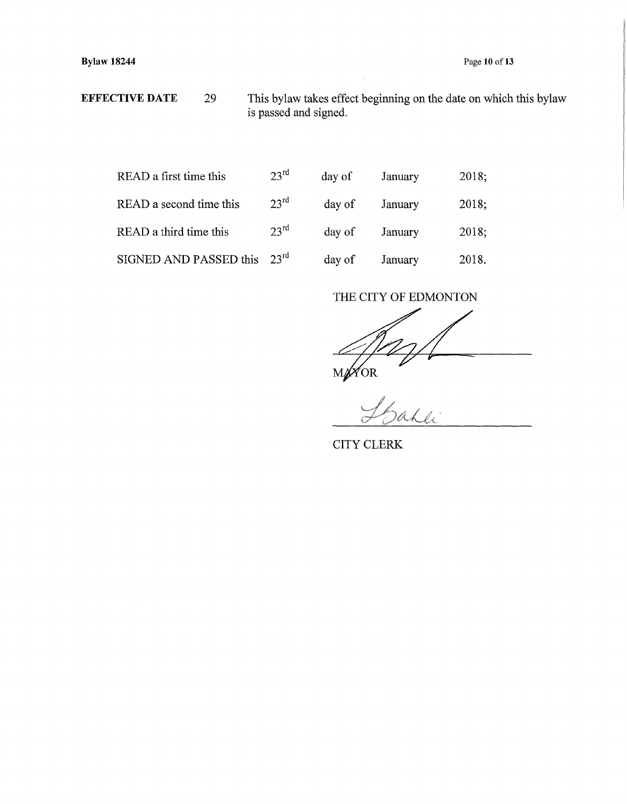Page **10** of13

**Bylaw 18244** 

**EFFECTIVE DATE** 29 This bylaw takes effect beginning on the date on which this bylaw is passed and signed.

| READ a first time this  | 23 <sup>rd</sup> |
|-------------------------|------------------|
| READ a second time this | 23 <sup>rd</sup> |
| READ a third time this  | $23^{\text{rd}}$ |
| SIGNED AND PASSED this  | $23^{\text{rd}}$ |

| READ a first time this  | $23^{\text{rd}}$ | day of | January | 2018; |
|-------------------------|------------------|--------|---------|-------|
| READ a second time this | $23^{\rm rd}$    | day of | January | 2018; |
| READ a third time this  | 23 <sup>rd</sup> | day of | January | 2018; |
| SIGNED AND PASSED this  | 23 <sup>rd</sup> | day of | January | 2018. |

## THE CITY OF EDMONTON

MYOR

CITY CLERK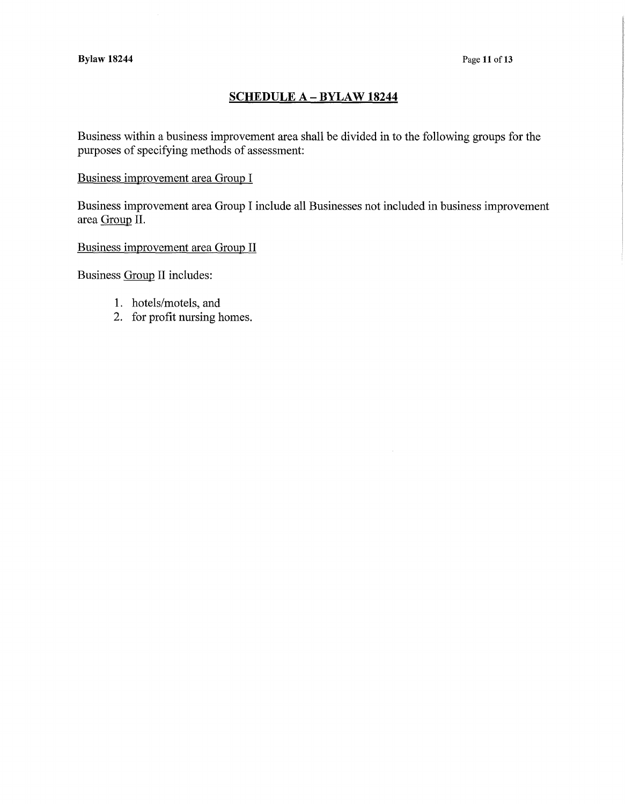## **SCHEDULE A-BYLAW 18244**

Business within a business improvement area shall be divided in to the following groups for the purposes of specifying methods of assessment:

## Business improvement area Group I

Business improvement area Group I include all Businesses not included in business improvement area Group II.

Business improvement area Group II

Business Group II includes:

- 1. hotels/motels, and
- 2. for profit nursing homes.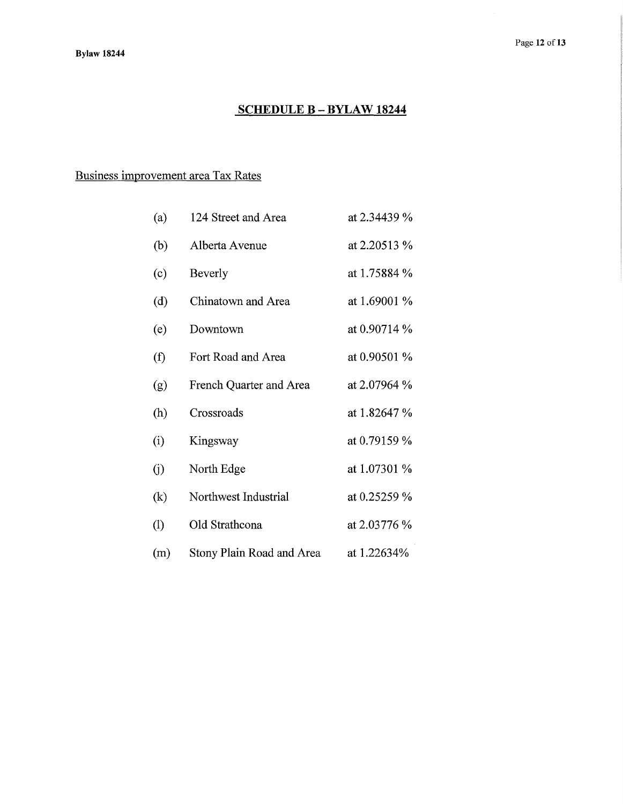# **SCHEDULE B - BYLAW 18244**

# Business improvement area Tax Rates

| (a)                        | 124 Street and Area       | at 2.34439 % |
|----------------------------|---------------------------|--------------|
| (b)                        | Alberta Avenue            | at 2.20513 % |
| (c)                        | <b>Beverly</b>            | at 1.75884 % |
| (d)                        | Chinatown and Area        | at 1.69001 % |
| (e)                        | Downtown                  | at 0.90714 % |
| (f)                        | Fort Road and Area        | at 0.90501 % |
| (g)                        | French Quarter and Area   | at 2.07964 % |
| (h)                        | Crossroads                | at 1.82647 % |
| (i)                        | Kingsway                  | at 0.79159 % |
| (i)                        | North Edge                | at 1.07301 % |
| $\left( k\right)$          | Northwest Industrial      | at 0.25259 % |
| $\left( \mathrm{l}\right)$ | Old Strathcona            | at 2.03776 % |
| (m)                        | Stony Plain Road and Area | at 1.22634%  |